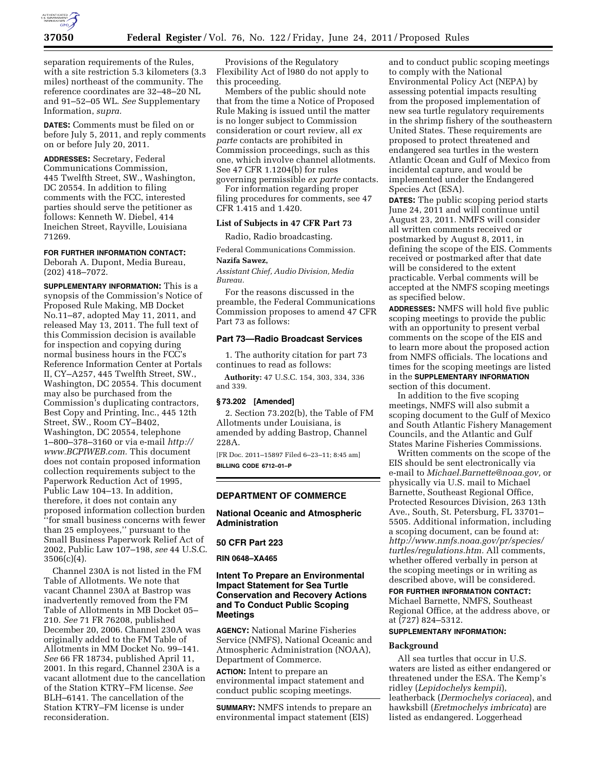

separation requirements of the Rules, with a site restriction 5.3 kilometers (3.3 miles) northeast of the community. The reference coordinates are 32–48–20 NL and 91–52–05 WL. *See* Supplementary Information, *supra.* 

**DATES:** Comments must be filed on or before July 5, 2011, and reply comments on or before July 20, 2011.

**ADDRESSES:** Secretary, Federal Communications Commission, 445 Twelfth Street, SW., Washington, DC 20554. In addition to filing comments with the FCC, interested parties should serve the petitioner as follows: Kenneth W. Diebel, 414 Ineichen Street, Rayville, Louisiana 71269.

**FOR FURTHER INFORMATION CONTACT:**  Deborah A. Dupont, Media Bureau, (202) 418–7072.

**SUPPLEMENTARY INFORMATION:** This is a synopsis of the Commission's Notice of Proposed Rule Making, MB Docket No.11–87, adopted May 11, 2011, and released May 13, 2011. The full text of this Commission decision is available for inspection and copying during normal business hours in the FCC's Reference Information Center at Portals II, CY–A257, 445 Twelfth Street, SW., Washington, DC 20554. This document may also be purchased from the Commission's duplicating contractors, Best Copy and Printing, Inc., 445 12th Street, SW., Room CY–B402, Washington, DC 20554, telephone 1–800–378–3160 or via e-mail *[http://](http://www.BCPIWEB.com) [www.BCPIWEB.com.](http://www.BCPIWEB.com)* This document does not contain proposed information collection requirements subject to the Paperwork Reduction Act of 1995, Public Law 104–13. In addition, therefore, it does not contain any proposed information collection burden ''for small business concerns with fewer than 25 employees,'' pursuant to the Small Business Paperwork Relief Act of 2002, Public Law 107–198, *see* 44 U.S.C.  $3506(c)(4)$ .

Channel 230A is not listed in the FM Table of Allotments. We note that vacant Channel 230A at Bastrop was inadvertently removed from the FM Table of Allotments in MB Docket 05– 210. *See* 71 FR 76208, published December 20, 2006. Channel 230A was originally added to the FM Table of Allotments in MM Docket No. 99–141. *See* 66 FR 18734, published April 11, 2001. In this regard, Channel 230A is a vacant allotment due to the cancellation of the Station KTRY–FM license. *See*  BLH–6141. The cancellation of the Station KTRY–FM license is under reconsideration.

Provisions of the Regulatory Flexibility Act of l980 do not apply to this proceeding.

Members of the public should note that from the time a Notice of Proposed Rule Making is issued until the matter is no longer subject to Commission consideration or court review, all *ex parte* contacts are prohibited in Commission proceedings, such as this one, which involve channel allotments. See 47 CFR 1.1204(b) for rules governing permissible *ex parte* contacts.

For information regarding proper filing procedures for comments, see 47 CFR 1.415 and 1.420.

### **List of Subjects in 47 CFR Part 73**

Radio, Radio broadcasting.

Federal Communications Commission.

#### **Nazifa Sawez,**

*Assistant Chief, Audio Division, Media Bureau.* 

For the reasons discussed in the preamble, the Federal Communications Commission proposes to amend 47 CFR Part 73 as follows:

### **Part 73—Radio Broadcast Services**

1. The authority citation for part 73 continues to read as follows:

**Authority:** 47 U.S.C. 154, 303, 334, 336 and 339.

### **§ 73.202 [Amended]**

2. Section 73.202(b), the Table of FM Allotments under Louisiana, is amended by adding Bastrop, Channel 228A.

[FR Doc. 2011–15897 Filed 6–23–11; 8:45 am] **BILLING CODE 6712–01–P** 

#### **DEPARTMENT OF COMMERCE**

# **National Oceanic and Atmospheric Administration**

# **50 CFR Part 223**

**RIN 0648–XA465** 

# **Intent To Prepare an Environmental Impact Statement for Sea Turtle Conservation and Recovery Actions and To Conduct Public Scoping Meetings**

**AGENCY:** National Marine Fisheries Service (NMFS), National Oceanic and Atmospheric Administration (NOAA), Department of Commerce.

**ACTION:** Intent to prepare an environmental impact statement and conduct public scoping meetings.

**SUMMARY:** NMFS intends to prepare an environmental impact statement (EIS)

and to conduct public scoping meetings to comply with the National Environmental Policy Act (NEPA) by assessing potential impacts resulting from the proposed implementation of new sea turtle regulatory requirements in the shrimp fishery of the southeastern United States. These requirements are proposed to protect threatened and endangered sea turtles in the western Atlantic Ocean and Gulf of Mexico from incidental capture, and would be implemented under the Endangered Species Act (ESA).

**DATES:** The public scoping period starts June 24, 2011 and will continue until August 23, 2011. NMFS will consider all written comments received or postmarked by August 8, 2011, in defining the scope of the EIS. Comments received or postmarked after that date will be considered to the extent practicable. Verbal comments will be accepted at the NMFS scoping meetings as specified below.

**ADDRESSES:** NMFS will hold five public scoping meetings to provide the public with an opportunity to present verbal comments on the scope of the EIS and to learn more about the proposed action from NMFS officials. The locations and times for the scoping meetings are listed in the **SUPPLEMENTARY INFORMATION** section of this document.

In addition to the five scoping meetings, NMFS will also submit a scoping document to the Gulf of Mexico and South Atlantic Fishery Management Councils, and the Atlantic and Gulf States Marine Fisheries Commissions.

Written comments on the scope of the EIS should be sent electronically via e-mail to *[Michael.Barnette@noaa.gov,](mailto:Michael.Barnette@noaa.gov)* or physically via U.S. mail to Michael Barnette, Southeast Regional Office, Protected Resources Division, 263 13th Ave., South, St. Petersburg, FL 33701– 5505. Additional information, including a scoping document, can be found at: *[http://www.nmfs.noaa.gov/pr/species/](http://www.nmfs.noaa.gov/pr/species/turtles/regulations.htm) [turtles/regulations.htm.](http://www.nmfs.noaa.gov/pr/species/turtles/regulations.htm)* All comments, whether offered verbally in person at the scoping meetings or in writing as described above, will be considered.

# **FOR FURTHER INFORMATION CONTACT:**

Michael Barnette, NMFS, Southeast Regional Office, at the address above, or at (727) 824–5312.

### **SUPPLEMENTARY INFORMATION:**

#### **Background**

All sea turtles that occur in U.S. waters are listed as either endangered or threatened under the ESA. The Kemp's ridley (*Lepidochelys kempii*), leatherback (*Dermochelys coriacea*), and hawksbill (*Eretmochelys imbricata*) are listed as endangered. Loggerhead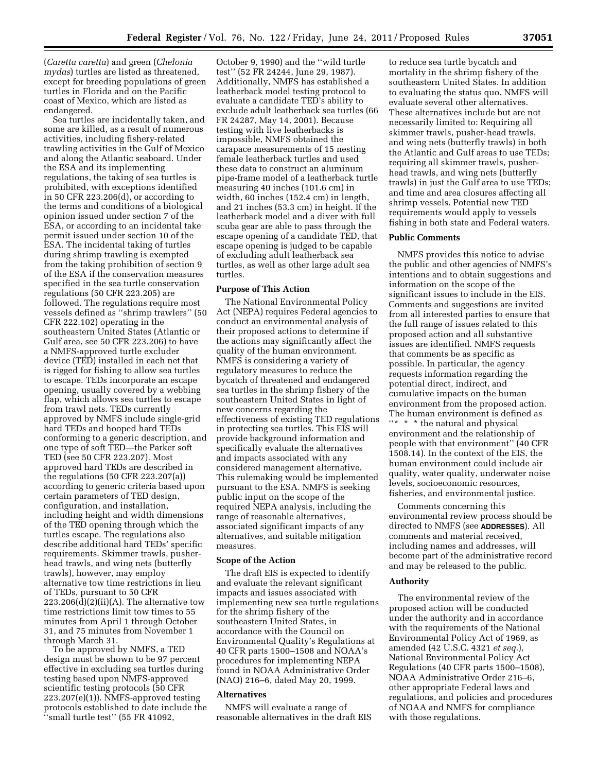(*Caretta caretta*) and green (*Chelonia mydas*) turtles are listed as threatened, except for breeding populations of green turtles in Florida and on the Pacific coast of Mexico, which are listed as endangered.

Sea turtles are incidentally taken, and some are killed, as a result of numerous activities, including fishery-related trawling activities in the Gulf of Mexico and along the Atlantic seaboard. Under the ESA and its implementing regulations, the taking of sea turtles is prohibited, with exceptions identified in 50 CFR 223.206(d), or according to the terms and conditions of a biological opinion issued under section 7 of the ESA, or according to an incidental take permit issued under section 10 of the ESA. The incidental taking of turtles during shrimp trawling is exempted from the taking prohibition of section 9 of the ESA if the conservation measures specified in the sea turtle conservation regulations (50 CFR 223.205) are followed. The regulations require most vessels defined as ''shrimp trawlers'' (50 CFR 222.102) operating in the southeastern United States (Atlantic or Gulf area, see 50 CFR 223.206) to have a NMFS-approved turtle excluder device (TED) installed in each net that is rigged for fishing to allow sea turtles to escape. TEDs incorporate an escape opening, usually covered by a webbing flap, which allows sea turtles to escape from trawl nets. TEDs currently approved by NMFS include single-grid hard TEDs and hooped hard TEDs conforming to a generic description, and one type of soft TED—the Parker soft TED (see 50 CFR 223.207). Most approved hard TEDs are described in the regulations (50 CFR 223.207(a)) according to generic criteria based upon certain parameters of TED design, configuration, and installation, including height and width dimensions of the TED opening through which the turtles escape. The regulations also describe additional hard TEDs' specific requirements. Skimmer trawls, pusherhead trawls, and wing nets (butterfly trawls), however, may employ alternative tow time restrictions in lieu of TEDs, pursuant to 50 CFR  $223.206(d)(2)(ii)(A)$ . The alternative tow time restrictions limit tow times to 55 minutes from April 1 through October 31, and 75 minutes from November 1 through March 31.

To be approved by NMFS, a TED design must be shown to be 97 percent effective in excluding sea turtles during testing based upon NMFS-approved scientific testing protocols (50 CFR 223.207(e)(1)). NMFS-approved testing protocols established to date include the ''small turtle test'' (55 FR 41092,

October 9, 1990) and the ''wild turtle test'' (52 FR 24244, June 29, 1987). Additionally, NMFS has established a leatherback model testing protocol to evaluate a candidate TED's ability to exclude adult leatherback sea turtles (66 FR 24287, May 14, 2001). Because testing with live leatherbacks is impossible, NMFS obtained the carapace measurements of 15 nesting female leatherback turtles and used these data to construct an aluminum pipe-frame model of a leatherback turtle measuring 40 inches (101.6 cm) in width, 60 inches (152.4 cm) in length, and 21 inches (53.3 cm) in height. If the leatherback model and a diver with full scuba gear are able to pass through the escape opening of a candidate TED, that escape opening is judged to be capable of excluding adult leatherback sea turtles, as well as other large adult sea turtles.

### **Purpose of This Action**

The National Environmental Policy Act (NEPA) requires Federal agencies to conduct an environmental analysis of their proposed actions to determine if the actions may significantly affect the quality of the human environment. NMFS is considering a variety of regulatory measures to reduce the bycatch of threatened and endangered sea turtles in the shrimp fishery of the southeastern United States in light of new concerns regarding the effectiveness of existing TED regulations in protecting sea turtles. This EIS will provide background information and specifically evaluate the alternatives and impacts associated with any considered management alternative. This rulemaking would be implemented pursuant to the ESA. NMFS is seeking public input on the scope of the required NEPA analysis, including the range of reasonable alternatives, associated significant impacts of any alternatives, and suitable mitigation measures.

### **Scope of the Action**

The draft EIS is expected to identify and evaluate the relevant significant impacts and issues associated with implementing new sea turtle regulations for the shrimp fishery of the southeastern United States, in accordance with the Council on Environmental Quality's Regulations at 40 CFR parts 1500–1508 and NOAA's procedures for implementing NEPA found in NOAA Administrative Order (NAO) 216–6, dated May 20, 1999.

### **Alternatives**

NMFS will evaluate a range of reasonable alternatives in the draft EIS

to reduce sea turtle bycatch and mortality in the shrimp fishery of the southeastern United States. In addition to evaluating the status quo, NMFS will evaluate several other alternatives. These alternatives include but are not necessarily limited to: Requiring all skimmer trawls, pusher-head trawls, and wing nets (butterfly trawls) in both the Atlantic and Gulf areas to use TEDs; requiring all skimmer trawls, pusherhead trawls, and wing nets (butterfly trawls) in just the Gulf area to use TEDs; and time and area closures affecting all shrimp vessels. Potential new TED requirements would apply to vessels fishing in both state and Federal waters.

### **Public Comments**

NMFS provides this notice to advise the public and other agencies of NMFS's intentions and to obtain suggestions and information on the scope of the significant issues to include in the EIS. Comments and suggestions are invited from all interested parties to ensure that the full range of issues related to this proposed action and all substantive issues are identified. NMFS requests that comments be as specific as possible. In particular, the agency requests information regarding the potential direct, indirect, and cumulative impacts on the human environment from the proposed action. The human environment is defined as ''\* \* \* the natural and physical environment and the relationship of people with that environment'' (40 CFR 1508.14). In the context of the EIS, the human environment could include air quality, water quality, underwater noise levels, socioeconomic resources, fisheries, and environmental justice.

Comments concerning this environmental review process should be directed to NMFS (see **ADDRESSES**). All comments and material received, including names and addresses, will become part of the administrative record and may be released to the public.

### **Authority**

The environmental review of the proposed action will be conducted under the authority and in accordance with the requirements of the National Environmental Policy Act of 1969, as amended (42 U.S.C. 4321 *et seq.*), National Environmental Policy Act Regulations (40 CFR parts 1500–1508), NOAA Administrative Order 216–6, other appropriate Federal laws and regulations, and policies and procedures of NOAA and NMFS for compliance with those regulations.